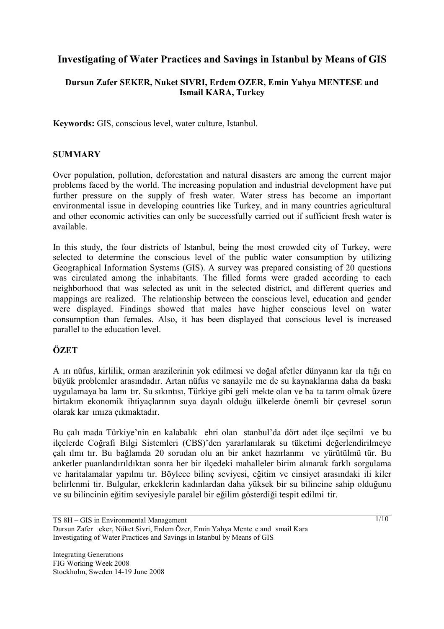# **Investigating of Water Practices and Savings in Istanbul by Means of GIS**

## **Dursun Zafer SEKER, Nuket SIVRI, Erdem OZER, Emin Yahya MENTESE and Ismail KARA, Turkey**

**Keywords:** GIS, conscious level, water culture, Istanbul.

### **SUMMARY**

Over population, pollution, deforestation and natural disasters are among the current major problems faced by the world. The increasing population and industrial development have put further pressure on the supply of fresh water. Water stress has become an important environmental issue in developing countries like Turkey, and in many countries agricultural and other economic activities can only be successfully carried out if sufficient fresh water is available.

In this study, the four districts of Istanbul, being the most crowded city of Turkey, were selected to determine the conscious level of the public water consumption by utilizing Geographical Information Systems (GIS). A survey was prepared consisting of 20 questions was circulated among the inhabitants. The filled forms were graded according to each neighborhood that was selected as unit in the selected district, and different queries and mappings are realized. The relationship between the conscious level, education and gender were displayed. Findings showed that males have higher conscious level on water consumption than females. Also, it has been displayed that conscious level is increased parallel to the education level.

# **ÖZET**

Aırı nüfus, kirlilik, orman arazilerinin yok edilmesi ve doğal afetler dünyanın karılatığı en büyük problemler arasındadır. Artan nüfus ve sanayileme de su kaynaklarına daha da baskı uygulamaya balamıtır. Su sıkıntısı, Türkiye gibi geli mekte olan ve ba ta tarım olmak üzere birtakım ekonomik ihtiyaçlarının suya dayalı olduğu ülkelerde önemli bir çevresel sorun olarak karımıza çıkmaktadır.

Bu çalımada Türkiye'nin en kalabalık ehri olan stanbul'da dört adet ilçe seçilmi ve bu ilçelerde Coğrafi Bilgi Sistemleri (CBS)'den yararlanılarak su tüketimi değerlendirilmeye çalıılmıtır. Bu bağlamda 20 sorudan oluan bir anket hazırlanmı ve yürütülmütür. Bu anketler puanlandırıldıktan sonra her bir ilçedeki mahalleler birim alınarak farklı sorgulama ve haritalamalar yapılmıtır. Böylece bilinç seviyesi, eğitim ve cinsiyet arasındaki ilikiler belirlenmi tir. Bulgular, erkeklerin kadınlardan daha yüksek bir su bilincine sahip olduğunu ve su bilincinin eğitim seviyesiyle paralel bir eğilim gösterdiği tespit edilmitir.

TS 8H – GIS in Environmental Management Dursun Zafer eker, Nüket Sivri, Erdem Özer, Emin Yahya Mente e and smail Kara Investigating of Water Practices and Savings in Istanbul by Means of GIS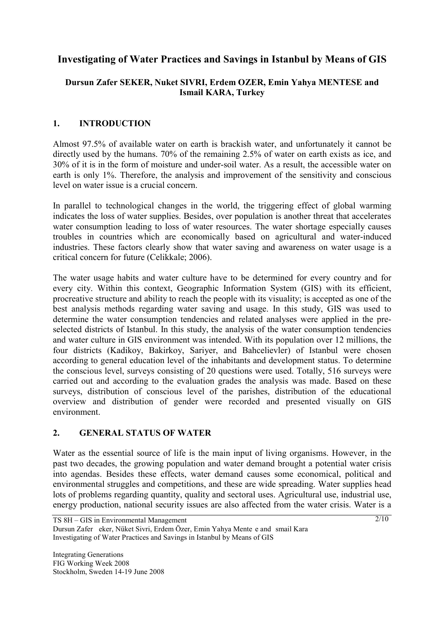# **Investigating of Water Practices and Savings in Istanbul by Means of GIS**

# **Dursun Zafer SEKER, Nuket SIVRI, Erdem OZER, Emin Yahya MENTESE and Ismail KARA, Turkey**

# **1. INTRODUCTION**

Almost 97.5% of available water on earth is brackish water, and unfortunately it cannot be directly used by the humans. 70% of the remaining 2.5% of water on earth exists as ice, and 30% of it is in the form of moisture and under-soil water. As a result, the accessible water on earth is only 1%. Therefore, the analysis and improvement of the sensitivity and conscious level on water issue is a crucial concern.

In parallel to technological changes in the world, the triggering effect of global warming indicates the loss of water supplies. Besides, over population is another threat that accelerates water consumption leading to loss of water resources. The water shortage especially causes troubles in countries which are economically based on agricultural and water-induced industries. These factors clearly show that water saving and awareness on water usage is a critical concern for future (Celikkale; 2006).

The water usage habits and water culture have to be determined for every country and for every city. Within this context, Geographic Information System (GIS) with its efficient, procreative structure and ability to reach the people with its visuality; is accepted as one of the best analysis methods regarding water saving and usage. In this study, GIS was used to determine the water consumption tendencies and related analyses were applied in the preselected districts of Istanbul. In this study, the analysis of the water consumption tendencies and water culture in GIS environment was intended. With its population over 12 millions, the four districts (Kadikoy, Bakirkoy, Sariyer, and Bahcelievler) of Istanbul were chosen according to general education level of the inhabitants and development status. To determine the conscious level, surveys consisting of 20 questions were used. Totally, 516 surveys were carried out and according to the evaluation grades the analysis was made. Based on these surveys, distribution of conscious level of the parishes, distribution of the educational overview and distribution of gender were recorded and presented visually on GIS environment.

### **2. GENERAL STATUS OF WATER**

Water as the essential source of life is the main input of living organisms. However, in the past two decades, the growing population and water demand brought a potential water crisis into agendas. Besides these effects, water demand causes some economical, political and environmental struggles and competitions, and these are wide spreading. Water supplies head lots of problems regarding quantity, quality and sectoral uses. Agricultural use, industrial use, energy production, national security issues are also affected from the water crisis. Water is a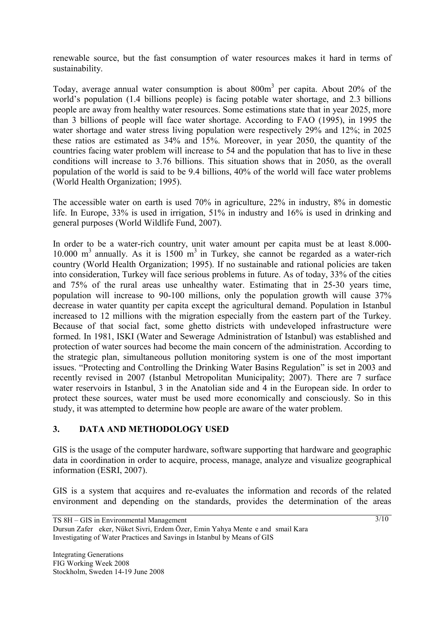renewable source, but the fast consumption of water resources makes it hard in terms of sustainability.

Today, average annual water consumption is about  $800m<sup>3</sup>$  per capita. About 20% of the world's population (1.4 billions people) is facing potable water shortage, and 2.3 billions people are away from healthy water resources. Some estimations state that in year 2025, more than 3 billions of people will face water shortage. According to FAO (1995), in 1995 the water shortage and water stress living population were respectively 29% and 12%; in 2025 these ratios are estimated as 34% and 15%. Moreover, in year 2050, the quantity of the countries facing water problem will increase to 54 and the population that has to live in these conditions will increase to 3.76 billions. This situation shows that in 2050, as the overall population of the world is said to be 9.4 billions, 40% of the world will face water problems (World Health Organization; 1995).

The accessible water on earth is used 70% in agriculture, 22% in industry, 8% in domestic life. In Europe, 33% is used in irrigation, 51% in industry and 16% is used in drinking and general purposes (World Wildlife Fund, 2007).

In order to be a water-rich country, unit water amount per capita must be at least 8.000- 10.000  $m<sup>3</sup>$  annually. As it is 1500  $m<sup>3</sup>$  in Turkey, she cannot be regarded as a water-rich country (World Health Organization; 1995). If no sustainable and rational policies are taken into consideration, Turkey will face serious problems in future. As of today, 33% of the cities and 75% of the rural areas use unhealthy water. Estimating that in 25-30 years time, population will increase to 90-100 millions, only the population growth will cause 37% decrease in water quantity per capita except the agricultural demand. Population in Istanbul increased to 12 millions with the migration especially from the eastern part of the Turkey. Because of that social fact, some ghetto districts with undeveloped infrastructure were formed. In 1981, ISKI (Water and Sewerage Administration of Istanbul) was established and protection of water sources had become the main concern of the administration. According to the strategic plan, simultaneous pollution monitoring system is one of the most important issues. "Protecting and Controlling the Drinking Water Basins Regulation" is set in 2003 and recently revised in 2007 (Istanbul Metropolitan Municipality; 2007). There are 7 surface water reservoirs in Istanbul, 3 in the Anatolian side and 4 in the European side. In order to protect these sources, water must be used more economically and consciously. So in this study, it was attempted to determine how people are aware of the water problem.

# **3. DATA AND METHODOLOGY USED**

GIS is the usage of the computer hardware, software supporting that hardware and geographic data in coordination in order to acquire, process, manage, analyze and visualize geographical information (ESRI, 2007).

GIS is a system that acquires and re-evaluates the information and records of the related environment and depending on the standards, provides the determination of the areas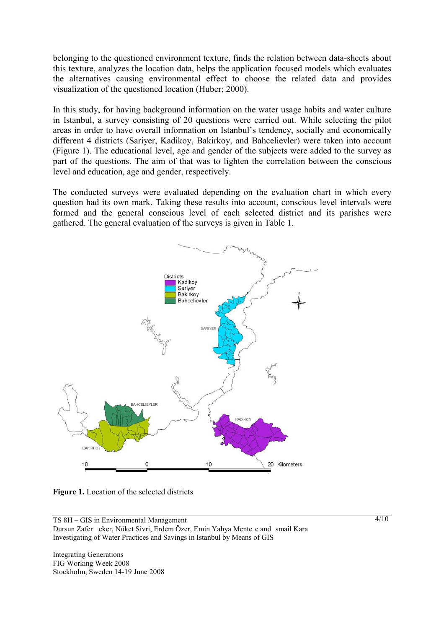belonging to the questioned environment texture, finds the relation between data-sheets about this texture, analyzes the location data, helps the application focused models which evaluates the alternatives causing environmental effect to choose the related data and provides visualization of the questioned location (Huber; 2000).

In this study, for having background information on the water usage habits and water culture in Istanbul, a survey consisting of 20 questions were carried out. While selecting the pilot areas in order to have overall information on Istanbul's tendency, socially and economically different 4 districts (Sariyer, Kadikoy, Bakirkoy, and Bahcelievler) were taken into account (Figure 1). The educational level, age and gender of the subjects were added to the survey as part of the questions. The aim of that was to lighten the correlation between the conscious level and education, age and gender, respectively.

The conducted surveys were evaluated depending on the evaluation chart in which every question had its own mark. Taking these results into account, conscious level intervals were formed and the general conscious level of each selected district and its parishes were gathered. The general evaluation of the surveys is given in Table 1.



**Figure 1.** Location of the selected districts

TS 8H – GIS in Environmental Management Dursun Zafer eker, Nüket Sivri, Erdem Özer, Emin Yahya Mente e and smail Kara Investigating of Water Practices and Savings in Istanbul by Means of GIS

Integrating Generations FIG Working Week 2008 Stockholm, Sweden 14-19 June 2008  $4/10$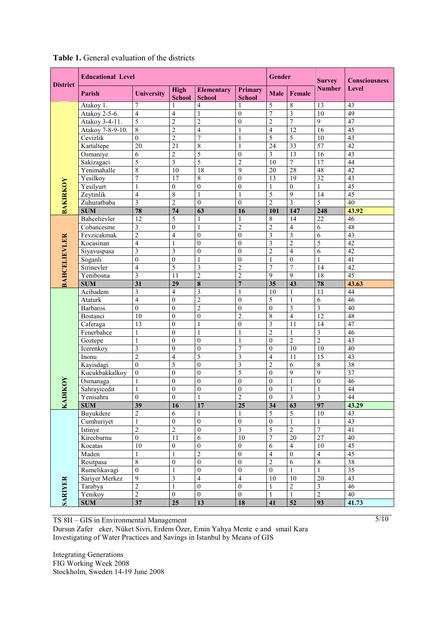|                     | <b>Educational Level</b> |                          |                              |                                    |                                 |                          | Gender                  | <b>Survey</b>   | <b>Consciousness</b> |
|---------------------|--------------------------|--------------------------|------------------------------|------------------------------------|---------------------------------|--------------------------|-------------------------|-----------------|----------------------|
| <b>District</b>     | Parish                   | <b>University</b>        | <b>High</b><br><b>School</b> | <b>Elementary</b><br><b>School</b> | <b>Primary</b><br><b>School</b> | <b>Male</b>              | <b>Female</b>           | <b>Number</b>   | <b>Level</b>         |
|                     | Atakoy 1.                | 7                        |                              | $\overline{4}$                     | 1                               | 5                        | $\,$ 8 $\,$             | 13              | 43                   |
|                     | Atakoy 2-5-6.            | $\overline{4}$           | $\overline{\mathbf{4}}$      | $\mathbf{1}$                       | $\mathbf{0}$                    | $\overline{7}$           | $\overline{\mathbf{3}}$ | $\overline{10}$ | 49                   |
|                     | Atakoy 3-4-11.           | 5                        | $\overline{c}$               | $\overline{c}$                     | $\mathbf{0}$                    | $\overline{c}$           | $\overline{7}$          | $\overline{9}$  | $\overline{47}$      |
|                     | Atakoy 7-8-9-10.         | $\,$ 8 $\,$              | $\overline{c}$               | $\overline{4}$                     | 1                               | $\overline{\mathcal{L}}$ | 12                      | 16              | 45                   |
|                     | Cevizlik                 | $\mathbf{0}$             | $\overline{c}$               | $\overline{7}$                     | $\mathbf{1}$                    | 5                        | 5                       | 10              | 43                   |
|                     | Kartaltepe               | $\overline{20}$          | 21                           | $\sqrt{8}$                         | $\mathbf{1}$                    | 24                       | 33                      | 57              | 42                   |
|                     | Osmaniye                 | 6                        | $\overline{c}$               | $\overline{5}$                     | $\boldsymbol{0}$                | $\overline{\mathbf{3}}$  | 13                      | $\overline{16}$ | $\overline{43}$      |
|                     | Sakizagaci               | 5                        | $\overline{\mathbf{3}}$      | 5                                  | $\overline{2}$                  | 10                       | $\overline{7}$          | 17              | 44                   |
|                     | Yenimahalle              | 8                        | 10                           | 18                                 | 9                               | $\overline{20}$          | $\overline{28}$         | 48              | 42                   |
|                     | Yesilkoy                 | 7                        | 17                           | $\,$ $\,$                          | $\mathbf{0}$                    | 13                       | $\overline{19}$         | 32              | 43                   |
|                     | Yesilyurt                | $\mathbf{1}$             | $\mathbf{0}$                 | $\overline{0}$                     | $\mathbf{0}$                    | $\mathbf{1}$             | $\overline{0}$          | $\mathbf{1}$    | 45                   |
| <b>BAKIRKOY</b>     | Zeytinlik                | $\overline{\mathcal{L}}$ | $\overline{8}$               | $\mathbf{1}$                       | $\mathbf{1}$                    | 5                        | $\overline{9}$          | 14              | 45                   |
|                     | Zuhuratbaba              | 3                        | $\overline{2}$               | $\mathbf{0}$                       | $\mathbf{0}$                    | $\overline{2}$           | $\overline{3}$          | $\overline{5}$  | 40                   |
|                     | <b>SUM</b>               | 78                       | 74                           | 63                                 | 16                              | 101                      | 147                     | 248             | 43.92                |
|                     | Bahcelievler             | 12                       | 5                            | 1                                  | 1                               | 8                        | 14                      | $\overline{22}$ | 46                   |
|                     | Cobancesme               | 3                        | $\boldsymbol{0}$             | $\mathbf{1}$                       | $\overline{2}$                  | $\overline{c}$           | $\overline{4}$          | $\overline{6}$  | 48                   |
|                     | Fevzicakmak              | $\overline{2}$           | $\overline{4}$               | $\boldsymbol{0}$                   | $\mathbf{0}$                    | $\overline{\mathbf{3}}$  | $\overline{3}$          | $\overline{6}$  | 43                   |
|                     | Kocasinan                | $\overline{\mathcal{L}}$ | 1                            | $\boldsymbol{0}$                   | $\mathbf{0}$                    | 3                        | $\overline{2}$          | $\overline{5}$  | 42                   |
| <b>BAHCELIEVLER</b> | Siyavuspasa              | 3                        | 3                            | $\mathbf{0}$                       | $\mathbf{0}$                    | $\overline{c}$           | $\overline{4}$          | 6               | 42                   |
|                     | Soganlı                  | $\boldsymbol{0}$         | $\boldsymbol{0}$             | $\mathbf{1}$                       | $\boldsymbol{0}$                | $\mathbf{1}$             | $\boldsymbol{0}$        | $\mathbf{1}$    | 41                   |
|                     | Sirinevler               | $\overline{4}$           | 5                            | $\mathfrak{Z}$                     | $\overline{c}$                  | 7                        | $\overline{7}$          | 14              | $\overline{42}$      |
|                     | Yenibosna                | 3                        | 11                           | $\overline{c}$                     | $\overline{2}$                  | 9                        | 9                       | $\overline{18}$ | $\overline{45}$      |
|                     | <b>SUM</b>               | 31                       | 29                           | $\bf 8$                            | $\overline{7}$                  | 35                       | 43                      | 78              | 43.63                |
|                     | Acibadem                 | 3                        | $\overline{4}$               | $\overline{\mathbf{3}}$            | $\mathbf{1}$                    | 10                       | $\mathbf{1}$            | $\overline{11}$ | 44                   |
|                     | Ataturk                  | 4                        | $\mathbf{0}$                 | $\overline{2}$                     | $\mathbf{0}$                    | 5                        | $\mathbf{1}$            | $\overline{6}$  | 46                   |
|                     | <b>Barbaros</b>          | $\boldsymbol{0}$         | $\mathbf{0}$                 | $\overline{2}$                     | $\mathbf{0}$                    | $\mathbf{0}$             | $\overline{\mathbf{3}}$ | $\overline{3}$  | 40                   |
|                     | Bostanci                 | 10                       | $\mathbf{0}$                 | $\mathbf{0}$                       | $\overline{2}$                  | $\overline{8}$           | $\overline{4}$          | 12              | 48                   |
|                     | Caferaga                 | 13                       | $\mathbf{0}$                 | $\mathbf{1}$                       | $\mathbf{0}$                    | $\overline{\mathbf{3}}$  | 11                      | 14              | 47                   |
|                     | Fenerbahce               | $\mathbf{1}$             | $\mathbf{0}$                 | $\mathbf{1}$                       | $\mathbf{1}$                    | $\overline{c}$           | $\mathbf{1}$            | $\overline{3}$  | 46                   |
|                     | Goztepe                  | $\mathbf{1}$             | $\mathbf{0}$                 | $\mathbf{0}$                       | $\mathbf{1}$                    | $\boldsymbol{0}$         | $\overline{2}$          | $\overline{2}$  | $\overline{43}$      |
|                     | Icerenkoy                | 3                        | $\mathbf{0}$                 | $\mathbf{0}$                       | 7                               | $\boldsymbol{0}$         | $\overline{10}$         | 10              | 40                   |
|                     | Inonu                    | $\overline{2}$           | $\overline{4}$               | 5                                  | $\overline{\mathbf{3}}$         | $\overline{4}$           | 11                      | 15              | 43                   |
|                     | Kayisdagi                | $\mathbf{0}$             | 5                            | $\boldsymbol{0}$                   | $\overline{\mathbf{3}}$         | $\overline{2}$           | $\sqrt{6}$              | 8               | 38                   |
|                     | Kucukbakkalkoy           | $\overline{0}$           | $\mathbf{0}$                 | $\overline{0}$                     | $\overline{5}$                  | $\mathbf{0}$             | $\overline{9}$          | $\overline{9}$  | $\overline{37}$      |
|                     | Osmanaga                 | 1                        | $\mathbf{0}$                 | $\mathbf{0}$                       | $\mathbf{0}$                    | $\boldsymbol{0}$         | $\mathbf{1}$            | $\overline{0}$  | 46                   |
| <b>DIKOY</b>        | Sahrayicedit             | 1                        | $\mathbf{0}$                 | $\boldsymbol{0}$                   | $\mathbf{0}$                    | 0                        | 1                       | $\mathbf{1}$    | 44                   |
|                     | Yenisahra                | $\boldsymbol{0}$         | $\boldsymbol{0}$             | $\mathbf{1}$                       | $\overline{2}$                  | $\mathbf{0}$             | $\overline{\mathbf{3}}$ | $\mathfrak{Z}$  | 44                   |
| KA.                 | <b>SUM</b>               | 39                       | 16                           | 17                                 | 25                              | 34                       | 63                      | 97              | 43.29                |
| <b>SARIYER</b>      | Buyukdere                | $\overline{2}$           | $\overline{6}$               | $\mathbf{1}$                       | $\mathbf{1}$                    | 5                        | $\overline{5}$          | $\overline{10}$ | 43                   |
|                     | Cumhuriyet               | $\mathbf{1}$             | $\overline{0}$               | $\overline{0}$                     | $\overline{0}$                  | $\overline{0}$           | $\mathbf{1}$            | $\overline{1}$  | $\overline{43}$      |
|                     | Istinye                  | $\overline{2}$           | $\overline{2}$               | $\boldsymbol{0}$                   | $\overline{\mathbf{3}}$         | 5                        | $\sqrt{2}$              | $\overline{7}$  | 41                   |
|                     | Kirecburnu               | $\overline{0}$           | 11                           | $\overline{6}$                     | 10                              | 7                        | 20                      | $\overline{27}$ | 40                   |
|                     | Kocatas                  | 10                       | $\boldsymbol{0}$             | $\overline{0}$                     | $\boldsymbol{0}$                | 6                        | $\overline{4}$          | $\overline{10}$ | $\overline{45}$      |
|                     | Maden                    | 1                        | 1                            | $\overline{2}$                     | $\boldsymbol{0}$                | 4                        | $\boldsymbol{0}$        | $\overline{4}$  | 45                   |
|                     | Resitpasa                | $\overline{8}$           | $\boldsymbol{0}$             | $\overline{0}$                     | $\boldsymbol{0}$                | $\overline{2}$           | $\overline{6}$          | $\sqrt{8}$      | 38                   |
|                     | Rumelikavagi             | $\overline{0}$           | 1                            | $\overline{0}$                     | $\boldsymbol{0}$                | $\boldsymbol{0}$         | 1                       | $\mathbf{1}$    | $\overline{35}$      |
|                     | Sariyer Merkez           | $\overline{9}$           | $\overline{\mathbf{3}}$      | $\overline{4}$                     | $\overline{4}$                  | 10                       | $\overline{10}$         | $\overline{20}$ | 43                   |
|                     | Tarabya                  | $\overline{2}$           | 1                            | $\overline{0}$                     | $\boldsymbol{0}$                | 1                        | $\overline{2}$          | $\mathfrak{Z}$  | 46                   |
|                     | Yenikoy                  | $\overline{2}$           | $\overline{0}$               | $\overline{0}$                     | $\boldsymbol{0}$                | $\mathbf{1}$             | $\mathbf{1}$            | $\overline{2}$  | 40                   |
|                     | $\mathbf{SUM}$           | 37                       | $\overline{25}$              | 13                                 | 18                              | 41                       | $\overline{52}$         | 93              | 41.73                |

#### **Table 1.** General evaluation of the districts

TS 8H – GIS in Environmental Management

Dursun Zafer eker, Nüket Sivri, Erdem Özer, Emin Yahya Mente e and smail Kara Investigating of Water Practices and Savings in Istanbul by Means of GIS

Integrating Generations FIG Working Week 2008 Stockholm, Sweden 14-19 June 2008  $5/10$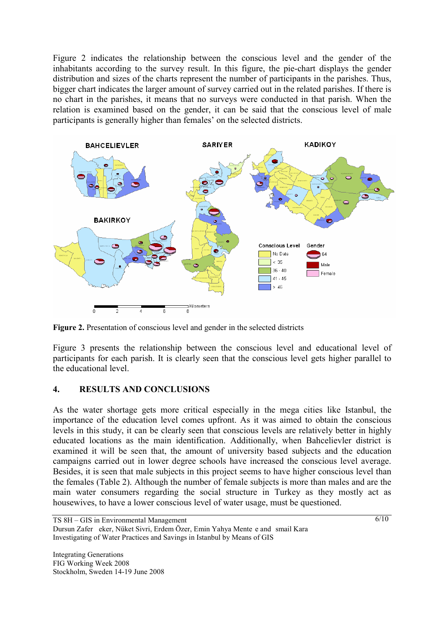Figure 2 indicates the relationship between the conscious level and the gender of the inhabitants according to the survey result. In this figure, the pie-chart displays the gender distribution and sizes of the charts represent the number of participants in the parishes. Thus, bigger chart indicates the larger amount of survey carried out in the related parishes. If there is no chart in the parishes, it means that no surveys were conducted in that parish. When the relation is examined based on the gender, it can be said that the conscious level of male participants is generally higher than females' on the selected districts.



Figure 2. Presentation of conscious level and gender in the selected districts

Figure 3 presents the relationship between the conscious level and educational level of participants for each parish. It is clearly seen that the conscious level gets higher parallel to the educational level.

### **4. RESULTS AND CONCLUSIONS**

As the water shortage gets more critical especially in the mega cities like Istanbul, the importance of the education level comes upfront. As it was aimed to obtain the conscious levels in this study, it can be clearly seen that conscious levels are relatively better in highly educated locations as the main identification. Additionally, when Bahcelievler district is examined it will be seen that, the amount of university based subjects and the education campaigns carried out in lower degree schools have increased the conscious level average. Besides, it is seen that male subjects in this project seems to have higher conscious level than the females (Table 2). Although the number of female subjects is more than males and are the main water consumers regarding the social structure in Turkey as they mostly act as housewives, to have a lower conscious level of water usage, must be questioned.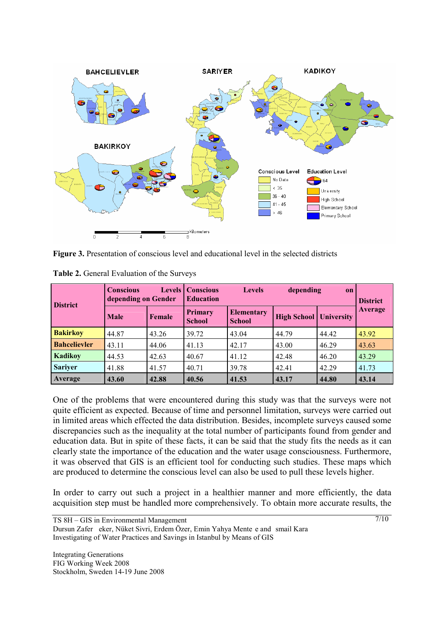

**Figure 3.** Presentation of conscious level and educational level in the selected districts

| <b>District</b>     | <b>Conscious</b><br><b>Levels</b> I<br>depending on Gender |               | <b>Conscious</b><br><b>Levels</b><br><b>Education</b> |                                    | depending<br>on    |                   | <b>District</b> |  |
|---------------------|------------------------------------------------------------|---------------|-------------------------------------------------------|------------------------------------|--------------------|-------------------|-----------------|--|
|                     | <b>Male</b>                                                | <b>Female</b> | <b>Primary</b><br><b>School</b>                       | <b>Elementary</b><br><b>School</b> | <b>High School</b> | <b>University</b> | <b>Average</b>  |  |
| <b>Bakirkov</b>     | 44.87                                                      | 43.26         | 39.72                                                 | 43.04                              | 44.79              | 44.42             | 43.92           |  |
| <b>Bahcelievler</b> | 43.11                                                      | 44.06         | 41.13                                                 | 42.17                              | 43.00              | 46.29             | 43.63           |  |
| <b>Kadikoy</b>      | 44.53                                                      | 42.63         | 40.67                                                 | 41.12                              | 42.48              | 46.20             | 43.29           |  |
| <b>Sariyer</b>      | 41.88                                                      | 41.57         | 40.71                                                 | 39.78                              | 42.41              | 42.29             | 41.73           |  |
| Average             | 43.60                                                      | 42.88         | 40.56                                                 | 41.53                              | 43.17              | 44.80             | 43.14           |  |

**Table 2.** General Evaluation of the Surveys

One of the problems that were encountered during this study was that the surveys were not quite efficient as expected. Because of time and personnel limitation, surveys were carried out in limited areas which effected the data distribution. Besides, incomplete surveys caused some discrepancies such as the inequality at the total number of participants found from gender and education data. But in spite of these facts, it can be said that the study fits the needs as it can clearly state the importance of the education and the water usage consciousness. Furthermore, it was observed that GIS is an efficient tool for conducting such studies. These maps which are produced to determine the conscious level can also be used to pull these levels higher.

In order to carry out such a project in a healthier manner and more efficiently, the data acquisition step must be handled more comprehensively. To obtain more accurate results, the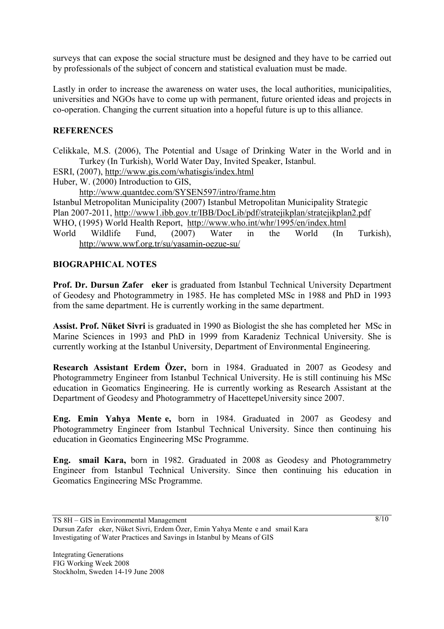surveys that can expose the social structure must be designed and they have to be carried out by professionals of the subject of concern and statistical evaluation must be made.

Lastly in order to increase the awareness on water uses, the local authorities, municipalities, universities and NGOs have to come up with permanent, future oriented ideas and projects in co-operation. Changing the current situation into a hopeful future is up to this alliance.

## **REFERENCES**

Celikkale, M.S. (2006), The Potential and Usage of Drinking Water in the World and in Turkey (In Turkish), World Water Day, Invited Speaker, Istanbul.

ESRI, (2007), http://www.gis.com/whatisgis/index.html

Huber, W. (2000) Introduction to GIS,

http://www.quantdec.com/SYSEN597/intro/frame.htm

Istanbul Metropolitan Municipality (2007) Istanbul Metropolitan Municipality Strategic

Plan 2007-2011, http://www1.ibb.gov.tr/IBB/DocLib/pdf/stratejikplan/stratejikplan2.pdf

WHO, (1995) World Health Report, http://www.who.int/whr/1995/en/index.html

World Wildlife Fund, (2007) Water in the World (In Turkish), http://www.wwf.org.tr/su/yasamin-oezue-su/

### **BIOGRAPHICAL NOTES**

**Prof. Dr. Dursun Zafer eker** is graduated from Istanbul Technical University Department of Geodesy and Photogrammetry in 1985. He has completed MSc in 1988 and PhD in 1993 from the same department. He is currently working in the same department.

**Assist. Prof. Nüket Sivri** is graduated in 1990 as Biologist the she has completed her MSc in Marine Sciences in 1993 and PhD in 1999 from Karadeniz Technical University. She is currently working at the Istanbul University, Department of Environmental Engineering.

**Research Assistant Erdem Özer,** born in 1984. Graduated in 2007 as Geodesy and Photogrammetry Engineer from Istanbul Technical University. He is still continuing his MSc education in Geomatics Engineering. He is currently working as Research Assistant at the Department of Geodesy and Photogrammetry of HacettepeUniversity since 2007.

Eng. Emin Yahya Mente e, born in 1984. Graduated in 2007 as Geodesy and Photogrammetry Engineer from Istanbul Technical University. Since then continuing his education in Geomatics Engineering MSc Programme.

**Eng. smail Kara,** born in 1982. Graduated in 2008 as Geodesy and Photogrammetry Engineer from Istanbul Technical University. Since then continuing his education in Geomatics Engineering MSc Programme.

TS 8H – GIS in Environmental Management

Dursun Zafer eker, Nüket Sivri, Erdem Özer, Emin Yahya Mente e and smail Kara Investigating of Water Practices and Savings in Istanbul by Means of GIS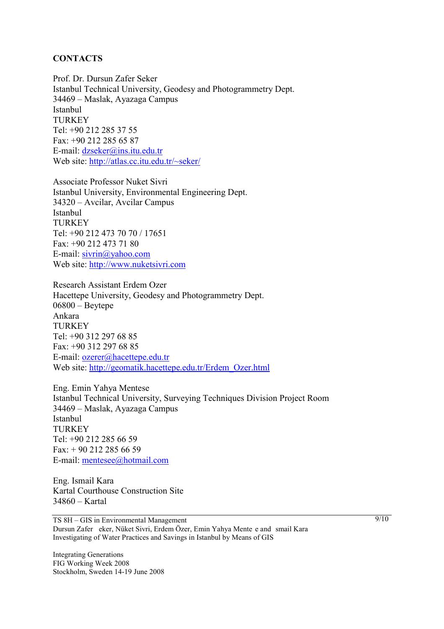#### **CONTACTS**

Prof. Dr. Dursun Zafer Seker Istanbul Technical University, Geodesy and Photogrammetry Dept. 34469 – Maslak, Ayazaga Campus Istanbul **TURKEY** Tel: +90 212 285 37 55 Fax: +90 212 285 65 87 E-mail: dzseker@ins.itu.edu.tr Web site: http://atlas.cc.itu.edu.tr/~seker/

Associate Professor Nuket Sivri Istanbul University, Environmental Engineering Dept. 34320 – Avcilar, Avcilar Campus Istanbul **TURKEY** Tel: +90 212 473 70 70 / 17651 Fax: +90 212 473 71 80 E-mail: sivrin@yahoo.com Web site: http://www.nuketsivri.com

Research Assistant Erdem Ozer Hacettepe University, Geodesy and Photogrammetry Dept. 06800 – Beytepe Ankara TURKEY Tel: +90 312 297 68 85 Fax: +90 312 297 68 85 E-mail: ozerer@hacettepe.edu.tr Web site: http://geomatik.hacettepe.edu.tr/Erdem\_Ozer.html

Eng. Emin Yahya Mentese Istanbul Technical University, Surveying Techniques Division Project Room 34469 – Maslak, Ayazaga Campus Istanbul **TURKEY** Tel: +90 212 285 66 59 Fax: + 90 212 285 66 59 E-mail: mentesee@hotmail.com

Eng. Ismail Kara Kartal Courthouse Construction Site 34860 – Kartal

TS 8H – GIS in Environmental Management Dursun Zafer eker, Nüket Sivri, Erdem Özer, Emin Yahya Mente e and smail Kara Investigating of Water Practices and Savings in Istanbul by Means of GIS

Integrating Generations FIG Working Week 2008 Stockholm, Sweden 14-19 June 2008  $9/10$